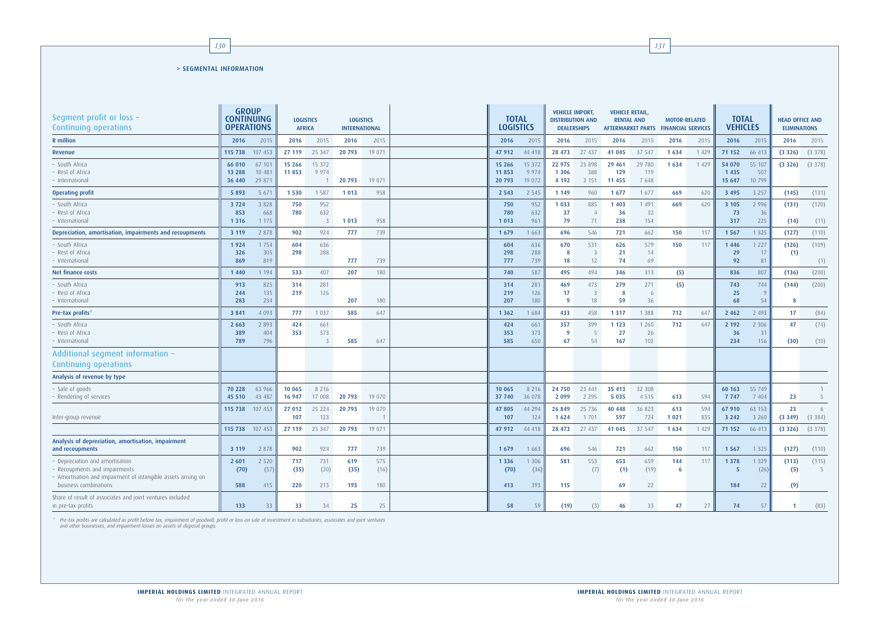| Segment profit or loss -<br>Continuing operations                                                                                                      | <b>GROUP</b><br><b>CONTINUING</b><br><b>OPERATIONS</b> |                            | <b>LOGISTICS</b><br><b>LOGISTICS</b><br><b>AFRICA</b><br><b>INTERNATIONAL</b> |                    |                    |                    | <b>TOTAL</b><br><b>LOGISTICS</b> |                             | <b>VEHICLE IMPORT,</b><br><b>DISTRIBUTION AND</b><br><b>DEALERSHIPS</b> |                             | <b>VEHICLE RETAIL,</b><br><b>RENTAL AND</b><br><b>AFTERMARKET PARTS</b> |                       | <b>MOTOR-RELATED</b><br><b>FINANCIAL SERVICES</b> |            | <b>TOTAL</b><br><b>VEHICLES</b> |                         | <b>HEAD OFFICE AND</b><br><b>ELIMINATIONS</b> |               |
|--------------------------------------------------------------------------------------------------------------------------------------------------------|--------------------------------------------------------|----------------------------|-------------------------------------------------------------------------------|--------------------|--------------------|--------------------|----------------------------------|-----------------------------|-------------------------------------------------------------------------|-----------------------------|-------------------------------------------------------------------------|-----------------------|---------------------------------------------------|------------|---------------------------------|-------------------------|-----------------------------------------------|---------------|
| <b>R</b> million                                                                                                                                       | 2016                                                   | 2015                       | 2016                                                                          | 2015               | 2016               | 2015               | 2016                             | 2015                        | 2016                                                                    | 2015                        | 2016                                                                    | 2015                  | 2016                                              | 2015       | 2016                            | 2015                    | 2016                                          | 2015          |
| Revenue                                                                                                                                                | 115 738                                                | 107 453                    | 27 119                                                                        | 25 347             | 20 793             | 19 071             | 47 912                           | 44 418                      | 28 473                                                                  | 27 437                      | 41 045                                                                  | 37 547                | 1634                                              | 1 4 2 9    | 71 152                          | 66 413                  | (3326)                                        | (3378)        |
| South Africa<br>Rest of Africa<br>International                                                                                                        | 66 010<br>13 288<br>36 440                             | 67 101<br>10 481<br>29 871 | 15 26 6<br>11 853                                                             | 15 3 72<br>9 9 7 4 | 20 793             | 19 071             | 15 26 6<br>11 853<br>20 793      | 15 372<br>9 9 7 4<br>19 072 | 22 975<br>1 3 0 6<br>4 1 9 2                                            | 23 898<br>388<br>3 1 5 1    | 29 4 61<br>129<br>11 455                                                | 29 780<br>119<br>7648 | 1634                                              | 1 4 2 9    | 54 070<br>1 4 3 5<br>15 647     | 55 107<br>507<br>10 799 | (3326)                                        | (3378)        |
| <b>Operating profit</b>                                                                                                                                | 5 8 9 3                                                | 567                        | 1530                                                                          | 1 5 8 7            | 1 0 1 3            | 958                | 2 5 4 3                          | 2 5 4 5                     | 1 1 4 9                                                                 | 960                         | 1 6 7 7                                                                 | 1 677                 | 669                                               | 620        | 3 4 9 5                         | 3 2 5 7                 | (145)                                         | (131)         |
| South Africa<br>Rest of Africa<br>International                                                                                                        | 3724<br>853<br>1 3 1 6                                 | 3 8 2 8<br>668<br>1 1 7 5  | 750<br>780                                                                    | 952<br>632<br>3    | 1 0 1 3            | 958                | 750<br>780<br>1 0 1 3            | 952<br>632<br>961           | 1 0 3 3<br>37<br>79                                                     | 885<br>$\overline{4}$<br>71 | 1 4 0 3<br>36<br>238                                                    | 1 4 9 1<br>32<br>154  | 669                                               | 620        | 3 1 0 5<br>73<br>317            | 2 9 9 6<br>36<br>225    | (131)<br>(14)                                 | (120)<br>(11) |
| Depreciation, amortisation, impairments and recoupments                                                                                                | 3 1 1 9                                                | 2 8 7 8                    | 902                                                                           | 924                | 777                | 739                | 1 6 7 9                          | 1 6 6 3                     | 696                                                                     | 546                         | 721                                                                     | 662                   | 150                                               | 117        | 1 5 6 7                         | 1 3 2 5                 | (127)                                         | (110)         |
| · South Africa<br>Rest of Africa<br>International                                                                                                      | 1924<br>326<br>869                                     | 1 7 5 4<br>305<br>819      | 604<br>298                                                                    | 636<br>288         | 777                | 739                | 604<br>298<br>777                | 636<br>288<br>739           | 670<br>-8<br>18                                                         | 531<br>3<br>12              | 626<br>21<br>74                                                         | 579<br>14<br>69       | 150                                               | 117        | 1 4 4 6<br>29<br>92             | 1 2 2 7<br>17<br>81     | (126)<br>(1)                                  | (109)<br>(1)  |
| Net finance costs                                                                                                                                      | 1 4 4 0                                                | 1 1 9 4                    | 533                                                                           | 407                | 207                | 180                | 740                              | 587                         | 495                                                                     | 494                         | 346                                                                     | 313                   | (5)                                               |            | 836                             | 807                     | (136)                                         | (200)         |
| South Africa<br>Rest of Africa<br>International                                                                                                        | 913<br>244<br>283                                      | 825<br>135<br>234          | 314<br>219                                                                    | 281<br>126         | 207                | 180                | 314<br>219<br>207                | 281<br>126<br>180           | 469<br>17<br>- 9                                                        | 473<br>3<br>18              | 279<br>8<br>59                                                          | 271<br>6<br>36        | (5)                                               |            | 743<br>25<br>68                 | 744<br>9<br>54          | (144)                                         | (200)         |
| Pre-tax profits <sup>®</sup>                                                                                                                           | 3 8 4 1                                                | 4 0 9 3                    | 777                                                                           | 1 0 3 7            | 585                | 647                | 1 3 6 2                          | 1684                        | 433                                                                     | 458                         | 1 3 1 7                                                                 | 1 3 8 8               | 712                                               | 647        | 2 4 6 2                         | 2 4 9 3                 | 17                                            | (84)          |
| · South Africa<br>Rest of Africa<br>· International                                                                                                    | 2 6 6 3<br>389<br>789                                  | 2 8 9 3<br>404<br>796      | 424<br>353                                                                    | 661<br>373<br>3    | 585                | 647                | 424<br>353<br>585                | 661<br>373<br>650           | 357<br>- 9<br>67                                                        | 399<br>54                   | 1 1 2 3<br>27<br>167                                                    | 1 2 6 0<br>26<br>102  | 712                                               | 647        | 2 1 9 2<br>36<br>234            | 2 3 0 6<br>31<br>156    | 47<br>(30)                                    | (74)<br>(10)  |
| Additional segment information -<br>Continuing operations                                                                                              |                                                        |                            |                                                                               |                    |                    |                    |                                  |                             |                                                                         |                             |                                                                         |                       |                                                   |            |                                 |                         |                                               |               |
| Analysis of revenue by type                                                                                                                            |                                                        |                            |                                                                               |                    |                    |                    |                                  |                             |                                                                         |                             |                                                                         |                       |                                                   |            |                                 |                         |                                               |               |
| - Sale of goods<br>Rendering of services                                                                                                               | 70 228<br>45 510                                       | 63 966<br>43 487           | 10 065<br>16 947                                                              | 8 2 1 6<br>17 008  | 20 793             | 19 0 70            | 10 065<br>37 740                 | 8 2 1 6<br>36 078           | 24 750<br>2 0 9 9                                                       | 23 441<br>2 2 9 5           | 35 413<br>5 0 3 5                                                       | 32 308<br>4 5 1 5     | 613                                               | 594        | 60 163<br>7 7 4 7               | 55 749<br>7 4 0 4       | 23                                            | -5            |
| Inter-group revenue                                                                                                                                    | 115 738                                                | 107 453                    | 27 012<br>107                                                                 | 25 224<br>123      | 20 793             | 19 070             | 47 805<br>107                    | 44 294<br>124               | 26 849<br>1 6 2 4                                                       | 25 7 36<br>1 7 0 1          | 40 448<br>597                                                           | 36 823<br>724         | 613<br>1 0 2 1                                    | 594<br>835 | 67 910<br>3 2 4 2               | 63 153<br>3 2 6 0       | 23<br>(3349)                                  | 6<br>(3384)   |
|                                                                                                                                                        | 115 738                                                | 107 453                    | 27 119                                                                        | 25 347             | 20 793             | 19 071             | 47 912                           | 44 418                      | 28 473                                                                  | 27 437                      | 41 045                                                                  | 37 547                | 1 6 3 4                                           | 1 4 2 9    | 71 152                          | 66 413                  | (3326)                                        | (3378)        |
| Analysis of depreciation, amortisation, impairment<br>and recoupments                                                                                  | 3 1 1 9                                                | 2 8 7 8                    | 902                                                                           | 924                | 777                | 739                | 1 6 7 9                          | 1 6 6 3                     | 696                                                                     | 546                         | 721                                                                     | 662                   | 150                                               | 117        | 1 5 6 7                         | 1 3 2 5                 | (127)                                         | (110)         |
| - Depreciation and amortisation<br>Recoupments and impairments<br>Amortisation and impairment of intangible assets arising on<br>business combinations | 2 601<br>(70)<br>588                                   | 2 5 2 0<br>(57)<br>415     | 717<br>(35)<br>220                                                            | 731<br>(20)<br>213 | 619<br>(35)<br>193 | 575<br>(16)<br>180 | 1 3 3 6<br>(70)<br>413           | 1 3 0 6<br>(36)<br>393      | 581<br>115                                                              | 553<br>(7)                  | 653<br>(1)<br>69                                                        | 659<br>(19)<br>22     | 144<br>6                                          | 117        | 1 3 7 8<br>-5<br>184            | 1 3 2 9<br>(26)<br>22   | (113)<br>(5)<br>(9)                           | (115)<br>- 5  |
| Share of result of associates and joint ventures included<br>in pre-tax profits                                                                        | 133                                                    | 33                         | 33                                                                            | 34                 | 25                 | 25                 | 58                               | 59                          | (19)                                                                    | (3)                         | 46                                                                      | 33                    | 47                                                | 27         | 74                              | 57                      | $\mathbf{1}$                                  | (83)          |

\* Pre-tax profits are calculated as profit before tax, impairment of goodwill, profit or loss on sale of investment in subsidiaries, associates and joint ventures and other businesses, and impairment losses on assets of disposal groups.

## > SEGMENTAL INFORMATION

*130 131*